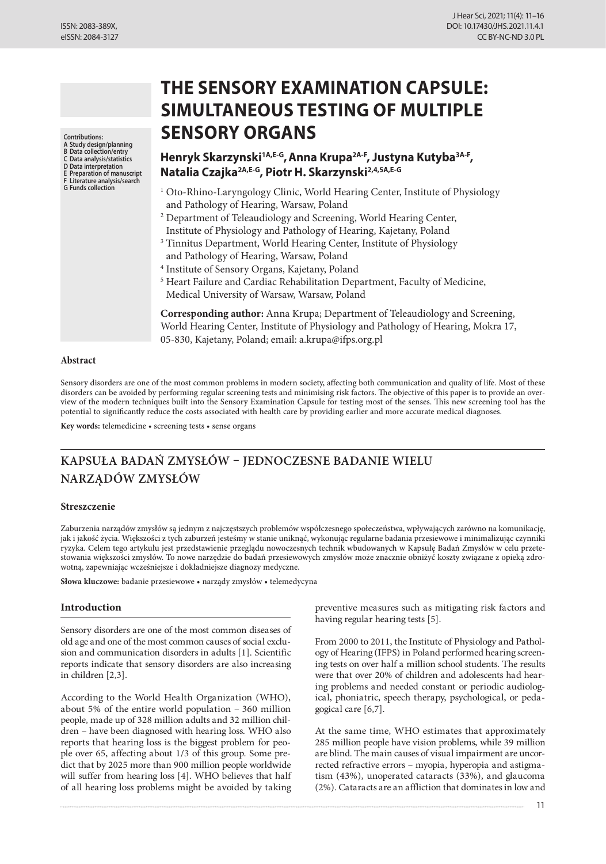**Contributions:**

**A Study design/planning B Data collection/entry**

**C Data analysis/statistics**

**D Data interpretation**

- **E Preparation of manuscript F Literature analysis/search**
- **G Funds collection**

# **THE SENSORY EXAMINATION CAPSULE: SIMULTANEOUS TESTING OF MULTIPLE SENSORY ORGANS**

# **Henryk Skarzynski1A,E-G,Anna Krupa2A-F, Justyna Kutyba3A-F, Natalia Czajka2A,E-G, Piotr H. Skarzynski2,4,5A,E-G**

- <sup>1</sup> Oto-Rhino-Laryngology Clinic, World Hearing Center, Institute of Physiology and Pathology of Hearing, Warsaw, Poland
- <sup>2</sup> Department of Teleaudiology and Screening, World Hearing Center, Institute of Physiology and Pathology of Hearing, Kajetany, Poland
- <sup>3</sup> Tinnitus Department, World Hearing Center, Institute of Physiology and Pathology of Hearing, Warsaw, Poland
- <sup>4</sup> Institute of Sensory Organs, Kajetany, Poland
- <sup>5</sup> Heart Failure and Cardiac Rehabilitation Department, Faculty of Medicine, Medical University of Warsaw, Warsaw, Poland

**Corresponding author:** Anna Krupa; Department of Teleaudiology and Screening, World Hearing Center, Institute of Physiology and Pathology of Hearing, Mokra 17, 05-830, Kajetany, Poland; email: a.krupa@ifps.org.pl

#### **Abstract**

Sensory disorders are one of the most common problems in modern society, affecting both communication and quality of life. Most of these disorders can be avoided by performing regular screening tests and minimising risk factors. The objective of this paper is to provide an overview of the modern techniques built into the Sensory Examination Capsule for testing most of the senses. This new screening tool has the potential to significantly reduce the costs associated with health care by providing earlier and more accurate medical diagnoses.

**Key words:** telemedicine • screening tests • sense organs

# **KAPSUŁA BADAŃ ZMYSŁÓW – JEDNOCZESNE BADANIE WIELU NARZĄDÓW ZMYSŁÓW**

#### **Streszczenie**

Zaburzenia narządów zmysłów są jednym z najczęstszych problemów współczesnego społeczeństwa, wpływających zarówno na komunikację, jak i jakość życia. Większości z tych zaburzeń jesteśmy w stanie uniknąć, wykonując regularne badania przesiewowe i minimalizując czynniki ryzyka. Celem tego artykułu jest przedstawienie przeglądu nowoczesnych technik wbudowanych w Kapsułę Badań Zmysłów w celu przetestowania większości zmysłów. To nowe narzędzie do badań przesiewowych zmysłów może znacznie obniżyć koszty związane z opieką zdrowotną, zapewniając wcześniejsze i dokładniejsze diagnozy medyczne.

**Słowa kluczowe:** badanie przesiewowe • narządy zmysłów • telemedycyna

# **Introduction**

Sensory disorders are one of the most common diseases of old age and one of the most common causes of social exclusion and communication disorders in adults [1]. Scientific reports indicate that sensory disorders are also increasing in children [2,3].

According to the World Health Organization (WHO), about 5% of the entire world population – 360 million people, made up of 328 million adults and 32 million children – have been diagnosed with hearing loss. WHO also reports that hearing loss is the biggest problem for people over 65, affecting about 1/3 of this group. Some predict that by 2025 more than 900 million people worldwide will suffer from hearing loss [4]. WHO believes that half of all hearing loss problems might be avoided by taking preventive measures such as mitigating risk factors and having regular hearing tests [5].

From 2000 to 2011, the Institute of Physiology and Pathology of Hearing (IFPS) in Poland performed hearing screening tests on over half a million school students. The results were that over 20% of children and adolescents had hearing problems and needed constant or periodic audiological, phoniatric, speech therapy, psychological, or pedagogical care [6,7].

At the same time, WHO estimates that approximately 285 million people have vision problems, while 39 million are blind. The main causes of visual impairment are uncorrected refractive errors – myopia, hyperopia and astigmatism (43%), unoperated cataracts (33%), and glaucoma (2%). Cataracts are an affliction that dominates in low and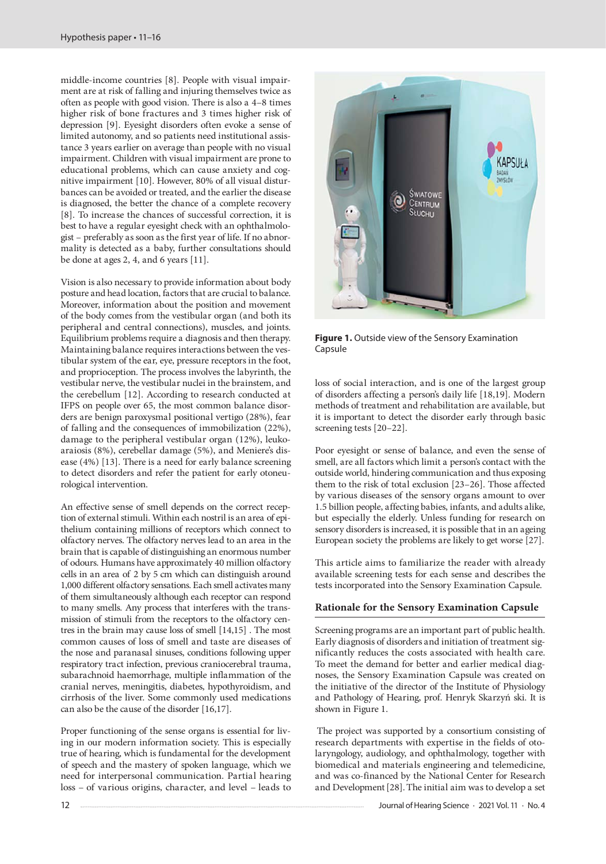middle-income countries [8]. People with visual impairment are at risk of falling and injuring themselves twice as often as people with good vision. There is also a 4–8 times higher risk of bone fractures and 3 times higher risk of depression [9]. Eyesight disorders often evoke a sense of limited autonomy, and so patients need institutional assistance 3 years earlier on average than people with no visual impairment. Children with visual impairment are prone to educational problems, which can cause anxiety and cognitive impairment [10]. However, 80% of all visual disturbances can be avoided or treated, and the earlier the disease is diagnosed, the better the chance of a complete recovery [8]. To increase the chances of successful correction, it is best to have a regular eyesight check with an ophthalmologist – preferably as soon as the first year of life. If no abnormality is detected as a baby, further consultations should be done at ages 2, 4, and 6 years [11].

Vision is also necessary to provide information about body posture and head location, factors that are crucial to balance. Moreover, information about the position and movement of the body comes from the vestibular organ (and both its peripheral and central connections), muscles, and joints. Equilibrium problems require a diagnosis and then therapy. Maintaining balance requires interactions between the vestibular system of the ear, eye, pressure receptors in the foot, and proprioception. The process involves the labyrinth, the vestibular nerve, the vestibular nuclei in the brainstem, and the cerebellum [12]. According to research conducted at IFPS on people over 65, the most common balance disorders are benign paroxysmal positional vertigo (28%), fear of falling and the consequences of immobilization (22%), damage to the peripheral vestibular organ (12%), leukoaraiosis (8%), cerebellar damage (5%), and Meniere's disease (4%) [13]. There is a need for early balance screening to detect disorders and refer the patient for early otoneurological intervention.

An effective sense of smell depends on the correct reception of external stimuli. Within each nostril is an area of epithelium containing millions of receptors which connect to olfactory nerves. The olfactory nerves lead to an area in the brain that is capable of distinguishing an enormous number of odours. Humans have approximately 40 million olfactory cells in an area of 2 by 5 cm which can distinguish around 1,000 different olfactory sensations. Each smell activates many of them simultaneously although each receptor can respond to many smells. Any process that interferes with the transmission of stimuli from the receptors to the olfactory centres in the brain may cause loss of smell [14,15] . The most common causes of loss of smell and taste are diseases of the nose and paranasal sinuses, conditions following upper respiratory tract infection, previous craniocerebral trauma, subarachnoid haemorrhage, multiple inflammation of the cranial nerves, meningitis, diabetes, hypothyroidism, and cirrhosis of the liver. Some commonly used medications can also be the cause of the disorder [16,17].

Proper functioning of the sense organs is essential for living in our modern information society. This is especially true of hearing, which is fundamental for the development of speech and the mastery of spoken language, which we need for interpersonal communication. Partial hearing loss – of various origins, character, and level – leads to



**Figure 1.** Outside view of the Sensory Examination Capsule

loss of social interaction, and is one of the largest group of disorders affecting a person's daily life [18,19]. Modern methods of treatment and rehabilitation are available, but it is important to detect the disorder early through basic screening tests [20–22].

Poor eyesight or sense of balance, and even the sense of smell, are all factors which limit a person's contact with the outside world, hindering communication and thus exposing them to the risk of total exclusion [23–26]. Those affected by various diseases of the sensory organs amount to over 1.5 billion people, affecting babies, infants, and adults alike, but especially the elderly. Unless funding for research on sensory disorders is increased, it is possible that in an ageing European society the problems are likely to get worse [27].

This article aims to familiarize the reader with already available screening tests for each sense and describes the tests incorporated into the Sensory Examination Capsule.

# **Rationale for the Sensory Examination Capsule**

Screening programs are an important part of public health. Early diagnosis of disorders and initiation of treatment significantly reduces the costs associated with health care. To meet the demand for better and earlier medical diagnoses, the Sensory Examination Capsule was created on the initiative of the director of the Institute of Physiology and Pathology of Hearing, prof. Henryk Skarzyń ski. It is shown in Figure 1.

The project was supported by a consortium consisting of research departments with expertise in the fields of otolaryngology, audiology, and ophthalmology, together with biomedical and materials engineering and telemedicine, and was co-financed by the National Center for Research and Development[28].The initial aim was to develop a set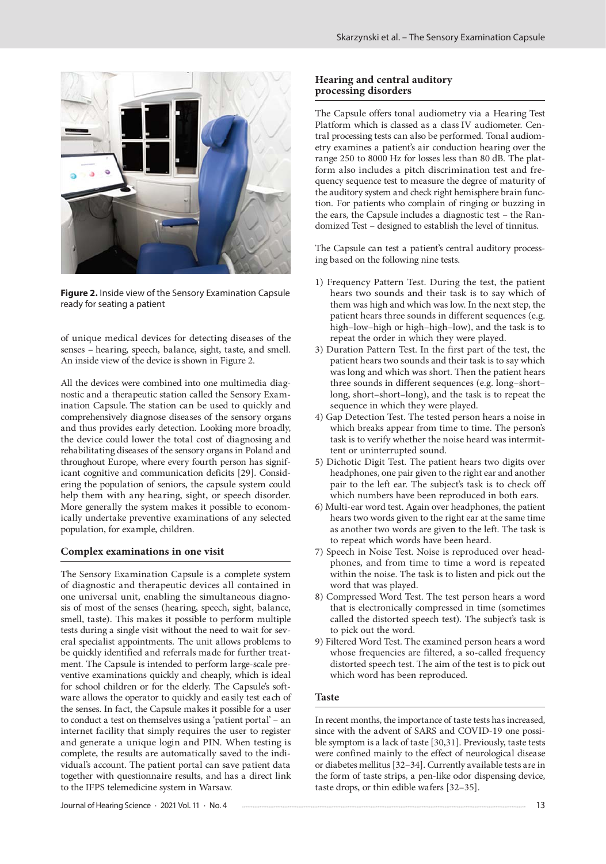

**Figure 2.** Inside view of the Sensory Examination Capsule ready for seating a patient

of unique medical devices for detecting diseases of the senses – hearing, speech, balance, sight, taste, and smell. An inside view of the device is shown in Figure 2.

All the devices were combined into one multimedia diagnostic and a therapeutic station called the Sensory Examination Capsule. The station can be used to quickly and comprehensively diagnose diseases of the sensory organs and thus provides early detection. Looking more broadly, the device could lower the total cost of diagnosing and rehabilitating diseases of the sensory organs in Poland and throughout Europe, where every fourth person has significant cognitive and communication deficits [29]. Considering the population of seniors, the capsule system could help them with any hearing, sight, or speech disorder. More generally the system makes it possible to economically undertake preventive examinations of any selected population, for example, children.

#### **Complex examinations in one visit**

The Sensory Examination Capsule is a complete system of diagnostic and therapeutic devices all contained in one universal unit, enabling the simultaneous diagnosis of most of the senses (hearing, speech, sight, balance, smell, taste). This makes it possible to perform multiple tests during a single visit without the need to wait for several specialist appointments. The unit allows problems to be quickly identified and referrals made for further treatment. The Capsule is intended to perform large-scale preventive examinations quickly and cheaply, which is ideal for school children or for the elderly. The Capsule's software allows the operator to quickly and easily test each of the senses. In fact, the Capsule makes it possible for a user to conduct a test on themselves using a 'patient portal' – an internet facility that simply requires the user to register and generate a unique login and PIN. When testing is complete, the results are automatically saved to the individual's account. The patient portal can save patient data together with questionnaire results, and has a direct link to the IFPS telemedicine system in Warsaw.

#### **Hearing and central auditory processing disorders**

The Capsule offers tonal audiometry via a Hearing Test Platform which is classed as a class IV audiometer. Central processing tests can also be performed. Tonal audiometry examines a patient's air conduction hearing over the range 250 to 8000 Hz for losses less than 80 dB. The platform also includes a pitch discrimination test and frequency sequence test to measure the degree of maturity of the auditory system and check right hemisphere brain function. For patients who complain of ringing or buzzing in the ears, the Capsule includes a diagnostic test – the Randomized Test – designed to establish the level of tinnitus.

The Capsule can test a patient's central auditory processing based on the following nine tests.

- 1) Frequency Pattern Test. During the test, the patient hears two sounds and their task is to say which of them was high and which was low. In the next step, the patient hears three sounds in different sequences (e.g. high–low–high or high–high–low), and the task is to repeat the order in which they were played.
- 3) Duration Pattern Test. In the first part of the test, the patient hears two sounds and their task is to say which was long and which was short. Then the patient hears three sounds in different sequences (e.g. long–short– long, short–short–long), and the task is to repeat the sequence in which they were played.
- 4) Gap Detection Test. The tested person hears a noise in which breaks appear from time to time. The person's task is to verify whether the noise heard was intermittent or uninterrupted sound.
- 5) Dichotic Digit Test. The patient hears two digits over headphones, one pair given to the right ear and another pair to the left ear. The subject's task is to check off which numbers have been reproduced in both ears.
- 6) Multi-ear word test. Again over headphones, the patient hears two words given to the right ear at the same time as another two words are given to the left. The task is to repeat which words have been heard.
- 7) Speech in Noise Test. Noise is reproduced over headphones, and from time to time a word is repeated within the noise. The task is to listen and pick out the word that was played.
- 8) Compressed Word Test. The test person hears a word that is electronically compressed in time (sometimes called the distorted speech test). The subject's task is to pick out the word.
- 9) Filtered Word Test. The examined person hears a word whose frequencies are filtered, a so-called frequency distorted speech test. The aim of the test is to pick out which word has been reproduced.

### **Taste**

In recent months, the importance of taste tests has increased, since with the advent of SARS and COVID-19 one possible symptom is a lack of taste [30,31]. Previously, taste tests were confined mainly to the effect of neurological disease or diabetes mellitus [32–34]. Currently available tests are in the form of taste strips, a pen-like odor dispensing device, taste drops, or thin edible wafers [32–35].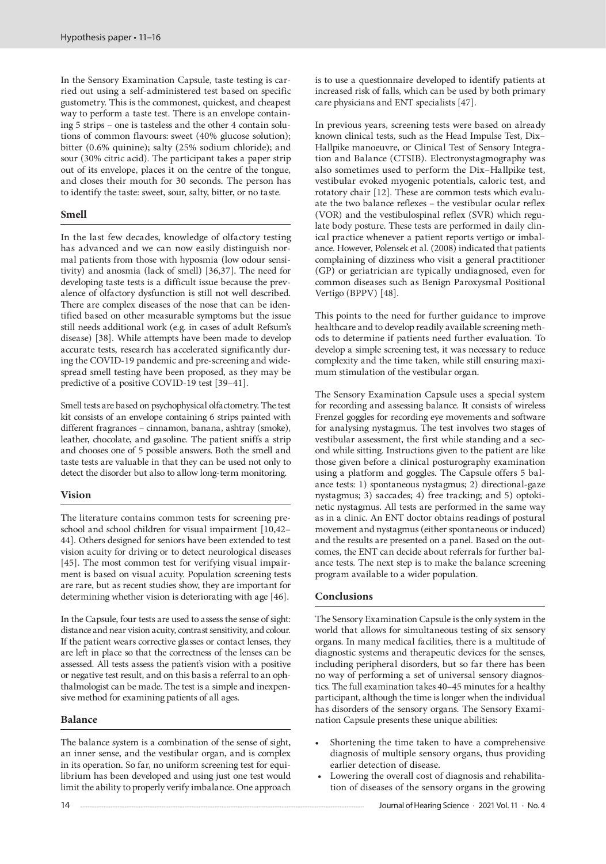In the Sensory Examination Capsule, taste testing is carried out using a self-administered test based on specific gustometry. This is the commonest, quickest, and cheapest way to perform a taste test. There is an envelope containing 5 strips – one is tasteless and the other 4 contain solutions of common flavours: sweet (40% glucose solution); bitter (0.6% quinine); salty (25% sodium chloride); and sour (30% citric acid). The participant takes a paper strip out of its envelope, places it on the centre of the tongue, and closes their mouth for 30 seconds. The person has to identify the taste: sweet, sour, salty, bitter, or no taste.

# **Smell**

In the last few decades, knowledge of olfactory testing has advanced and we can now easily distinguish normal patients from those with hyposmia (low odour sensitivity) and anosmia (lack of smell) [36,37]. The need for developing taste tests is a difficult issue because the prevalence of olfactory dysfunction is still not well described. There are complex diseases of the nose that can be identified based on other measurable symptoms but the issue still needs additional work (e.g. in cases of adult Refsum's disease) [38]. While attempts have been made to develop accurate tests, research has accelerated significantly during the COVID-19 pandemic and pre-screening and widespread smell testing have been proposed, as they may be predictive of a positive COVID-19 test [39–41].

Smell tests are based on psychophysical olfactometry. The test kit consists of an envelope containing 6 strips painted with different fragrances – cinnamon, banana, ashtray (smoke), leather, chocolate, and gasoline. The patient sniffs a strip and chooses one of 5 possible answers. Both the smell and taste tests are valuable in that they can be used not only to detect the disorder but also to allow long-term monitoring.

# **Vision**

The literature contains common tests for screening preschool and school children for visual impairment [10,42– 44]. Others designed for seniors have been extended to test vision acuity for driving or to detect neurological diseases [45]. The most common test for verifying visual impairment is based on visual acuity. Population screening tests are rare, but as recent studies show, they are important for determining whether vision is deteriorating with age [46].

In the Capsule, four tests are used to assess the sense of sight: distance and near vision acuity, contrast sensitivity, and colour. If the patient wears corrective glasses or contact lenses, they are left in place so that the correctness of the lenses can be assessed. All tests assess the patient's vision with a positive or negative test result, and on this basis a referral to an ophthalmologist can be made. The test is a simple and inexpensive method for examining patients of all ages.

# **Balance**

The balance system is a combination of the sense of sight, an inner sense, and the vestibular organ, and is complex in its operation. So far, no uniform screening test for equilibrium has been developed and using just one test would limit the ability to properly verify imbalance. One approach is to use a questionnaire developed to identify patients at increased risk of falls, which can be used by both primary care physicians and ENT specialists [47].

In previous years, screening tests were based on already known clinical tests, such as the Head Impulse Test, Dix– Hallpike manoeuvre, or Clinical Test of Sensory Integration and Balance (CTSIB). Electronystagmography was also sometimes used to perform the Dix–Hallpike test, vestibular evoked myogenic potentials, caloric test, and rotatory chair [12]. These are common tests which evaluate the two balance reflexes – the vestibular ocular reflex (VOR) and the vestibulospinal reflex (SVR) which regulate body posture. These tests are performed in daily clinical practice whenever a patient reports vertigo or imbalance. However, Polensek et al. (2008) indicated that patients complaining of dizziness who visit a general practitioner (GP) or geriatrician are typically undiagnosed, even for common diseases such as Benign Paroxysmal Positional Vertigo (BPPV) [48].

This points to the need for further guidance to improve healthcare and to develop readily available screening methods to determine if patients need further evaluation. To develop a simple screening test, it was necessary to reduce complexity and the time taken, while still ensuring maximum stimulation of the vestibular organ.

The Sensory Examination Capsule uses a special system for recording and assessing balance. It consists of wireless Frenzel goggles for recording eye movements and software for analysing nystagmus. The test involves two stages of vestibular assessment, the first while standing and a second while sitting. Instructions given to the patient are like those given before a clinical posturography examination using a platform and goggles. The Capsule offers 5 balance tests: 1) spontaneous nystagmus; 2) directional-gaze nystagmus; 3) saccades; 4) free tracking; and 5) optokinetic nystagmus. All tests are performed in the same way as in a clinic. An ENT doctor obtains readings of postural movement and nystagmus (either spontaneous or induced) and the results are presented on a panel. Based on the outcomes, the ENT can decide about referrals for further balance tests. The next step is to make the balance screening program available to a wider population.

# **Conclusions**

The Sensory Examination Capsule is the only system in the world that allows for simultaneous testing of six sensory organs. In many medical facilities, there is a multitude of diagnostic systems and therapeutic devices for the senses, including peripheral disorders, but so far there has been no way of performing a set of universal sensory diagnostics. The full examination takes 40–45 minutes for a healthy participant, although the time is longer when the individual has disorders of the sensory organs. The Sensory Examination Capsule presents these unique abilities:

- Shortening the time taken to have a comprehensive diagnosis of multiple sensory organs, thus providing earlier detection of disease.
- Lowering the overall cost of diagnosis and rehabilitation of diseases of the sensory organs in the growing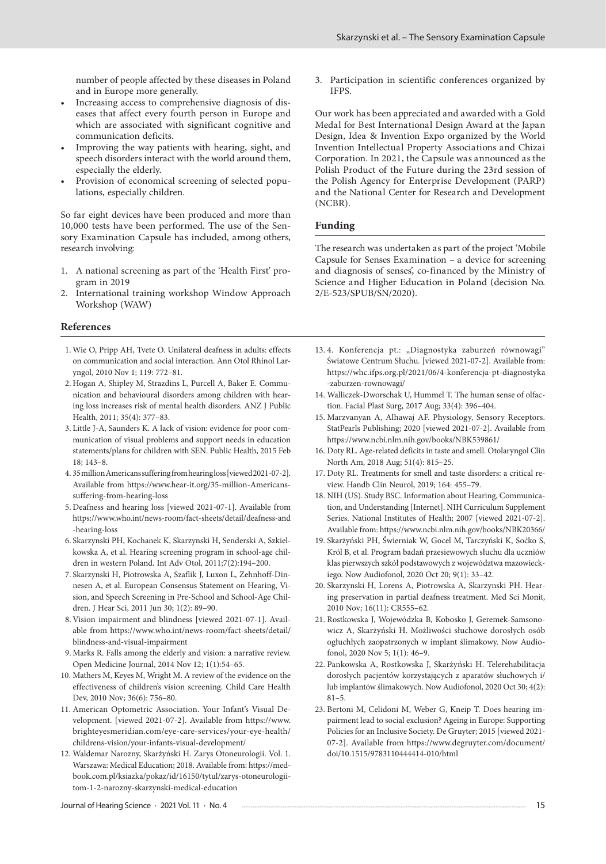number of people affected by these diseases in Poland and in Europe more generally.

- Increasing access to comprehensive diagnosis of diseases that affect every fourth person in Europe and which are associated with significant cognitive and communication deficits.
- Improving the way patients with hearing, sight, and speech disorders interact with the world around them, especially the elderly.
- Provision of economical screening of selected populations, especially children.

So far eight devices have been produced and more than 10,000 tests have been performed. The use of the Sensory Examination Capsule has included, among others, research involving:

- 1. A national screening as part of the 'Health First' program in 2019
- 2. International training workshop Window Approach Workshop (WAW)

#### **References**

- 1. Wie O, Pripp AH, Tvete O. Unilateral deafness in adults: effects on communication and social interaction. Ann Otol Rhinol Laryngol, 2010 Nov 1; 119: 772–81.
- 2. Hogan A, Shipley M, Strazdins L, Purcell A, Baker E. Communication and behavioural disorders among children with hearing loss increases risk of mental health disorders. ANZ J Public Health, 2011; 35(4): 377–83.
- 3. Little J-A, Saunders K. A lack of vision: evidence for poor communication of visual problems and support needs in education statements/plans for children with SEN. Public Health, 2015 Feb 18; 143–8.
- 4. 35 million Americans suffering from hearing loss [viewed 2021-07-2]. Available from https://www.hear-it.org/35-million-Americanssuffering-from-hearing-loss
- 5. Deafness and hearing loss [viewed 2021-07-1]. Available from https://www.who.int/news-room/fact-sheets/detail/deafness-and -hearing-loss
- 6. Skarzynski PH, Kochanek K, Skarzynski H, Senderski A, Szkielkowska A, et al. Hearing screening program in school-age children in western Poland. Int Adv Otol, 2011;7(2):194–200.
- 7. Skarzynski H, Piotrowska A, Szaflik J, Luxon L, Zehnhoff-Dinnesen A, et al. European Consensus Statement on Hearing, Vision, and Speech Screening in Pre-School and School-Age Children. J Hear Sci, 2011 Jun 30; 1(2): 89–90.
- 8. Vision impairment and blindness [viewed 2021-07-1]. Available from https://www.who.int/news-room/fact-sheets/detail/ blindness-and-visual-impairment
- 9. Marks R. Falls among the elderly and vision: a narrative review. Open Medicine Journal, 2014 Nov 12; 1(1):54–65.
- 10. Mathers M, Keyes M, Wright M. A review of the evidence on the effectiveness of children's vision screening. Child Care Health Dev, 2010 Nov; 36(6): 756–80.
- 11. American Optometric Association. Your Infant's Visual Development. [viewed 2021-07-2]. Available from https://www. brighteyesmeridian.com/eye-care-services/your-eye-health/ childrens-vision/your-infants-visual-development/
- 12. Waldemar Narozny, Skarżyński H. Zarys Otoneurologii. Vol. 1. Warszawa: Medical Education; 2018. Available from: https://medbook.com.pl/ksiazka/pokaz/id/16150/tytul/zarys-otoneurologiitom-1-2-narozny-skarzynski-medical-education

3. Participation in scientific conferences organized by IFPS.

Our work has been appreciated and awarded with a Gold Medal for Best International Design Award at the Japan Design, Idea & Invention Expo organized by the World Invention Intellectual Property Associations and Chizai Corporation. In 2021, the Capsule was announced as the Polish Product of the Future during the 23rd session of the Polish Agency for Enterprise Development (PARP) and the National Center for Research and Development (NCBR).

# **Funding**

The research was undertaken as part of the project 'Mobile Capsule for Senses Examination – a device for screening and diagnosis of senses', co-financed by the Ministry of Science and Higher Education in Poland (decision No. 2/E-523/SPUB/SN/2020).

- 13. 4. Konferencja pt.: "Diagnostyka zaburzeń równowagi" Światowe Centrum Słuchu. [viewed 2021-07-2]. Available from: https://whc.ifps.org.pl/2021/06/4-konferencja-pt-diagnostyka -zaburzen-rownowagi/
- 14. Walliczek-Dworschak U, Hummel T. The human sense of olfaction. Facial Plast Surg, 2017 Aug; 33(4): 396–404.
- 15. Marzvanyan A, Alhawaj AF. Physiology, Sensory Receptors. StatPearls Publishing; 2020 [viewed 2021-07-2]. Available from https://www.ncbi.nlm.nih.gov/books/NBK539861/
- 16. Doty RL. Age-related deficits in taste and smell. Otolaryngol Clin North Am, 2018 Aug; 51(4): 815–25.
- 17. Doty RL. Treatments for smell and taste disorders: a critical review. Handb Clin Neurol, 2019; 164: 455–79.
- 18. NIH (US). Study BSC. Information about Hearing, Communication, and Understanding [Internet]. NIH Curriculum Supplement Series. National Institutes of Health; 2007 [viewed 2021-07-2]. Available from: https://www.ncbi.nlm.nih.gov/books/NBK20366/
- 19. Skarżyński PH, Świerniak W, Gocel M, Tarczyński K, Soćko S, Król B, et al. Program badań przesiewowych słuchu dla uczniów klas pierwszych szkół podstawowych z województwa mazowieckiego. Now Audiofonol, 2020 Oct 20; 9(1): 33–42.
- 20. Skarzynski H, Lorens A, Piotrowska A, Skarzynski PH. Hearing preservation in partial deafness treatment. Med Sci Monit, 2010 Nov; 16(11): CR555–62.
- 21. Rostkowska J, Wojewódzka B, Kobosko J, Geremek-Samsonowicz A, Skarżyński H. Możliwości słuchowe dorosłych osób ogłuchłych zaopatrzonych w implant ślimakowy. Now Audiofonol, 2020 Nov 5; 1(1): 46–9.
- 22. Pankowska A, Rostkowska J, Skarżyński H. Telerehabilitacja dorosłych pacjentów korzystających z aparatów słuchowych i/ lub implantów ślimakowych. Now Audiofonol, 2020 Oct 30; 4(2):  $81 - 5.$
- 23. Bertoni M, Celidoni M, Weber G, Kneip T. Does hearing impairment lead to social exclusion? Ageing in Europe: Supporting Policies for an Inclusive Society. De Gruyter; 2015 [viewed 2021- 07-2]. Available from https://www.degruyter.com/document/ doi/10.1515/9783110444414-010/html